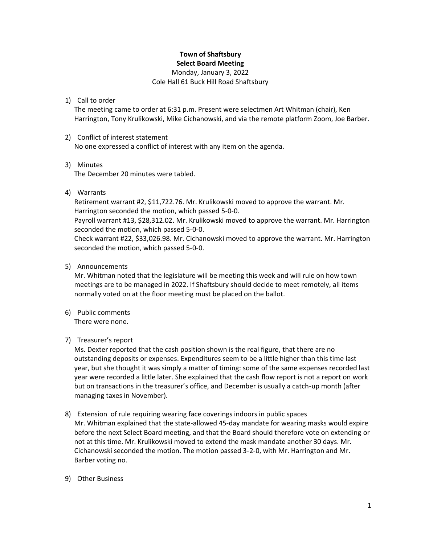### **Town of Shaftsbury Select Board Meeting**

Monday, January 3, 2022

Cole Hall 61 Buck Hill Road Shaftsbury

## 1) Call to order

The meeting came to order at 6:31 p.m. Present were selectmen Art Whitman (chair), Ken Harrington, Tony Krulikowski, Mike Cichanowski, and via the remote platform Zoom, Joe Barber.

#### 2) Conflict of interest statement

No one expressed a conflict of interest with any item on the agenda.

#### 3) Minutes

The December 20 minutes were tabled.

## 4) Warrants

Retirement warrant #2, \$11,722.76. Mr. Krulikowski moved to approve the warrant. Mr. Harrington seconded the motion, which passed 5-0-0.

Payroll warrant #13, \$28,312.02. Mr. Krulikowski moved to approve the warrant. Mr. Harrington seconded the motion, which passed 5-0-0.

Check warrant #22, \$33,026.98. Mr. Cichanowski moved to approve the warrant. Mr. Harrington seconded the motion, which passed 5-0-0.

#### 5) Announcements

Mr. Whitman noted that the legislature will be meeting this week and will rule on how town meetings are to be managed in 2022. If Shaftsbury should decide to meet remotely, all items normally voted on at the floor meeting must be placed on the ballot.

6) Public comments There were none.

## 7) Treasurer's report

Ms. Dexter reported that the cash position shown is the real figure, that there are no outstanding deposits or expenses. Expenditures seem to be a little higher than this time last year, but she thought it was simply a matter of timing: some of the same expenses recorded last year were recorded a little later. She explained that the cash flow report is not a report on work but on transactions in the treasurer's office, and December is usually a catch-up month (after managing taxes in November).

- 8) Extension of rule requiring wearing face coverings indoors in public spaces Mr. Whitman explained that the state-allowed 45-day mandate for wearing masks would expire before the next Select Board meeting, and that the Board should therefore vote on extending or not at this time. Mr. Krulikowski moved to extend the mask mandate another 30 days. Mr. Cichanowski seconded the motion. The motion passed 3-2-0, with Mr. Harrington and Mr. Barber voting no.
- 9) Other Business